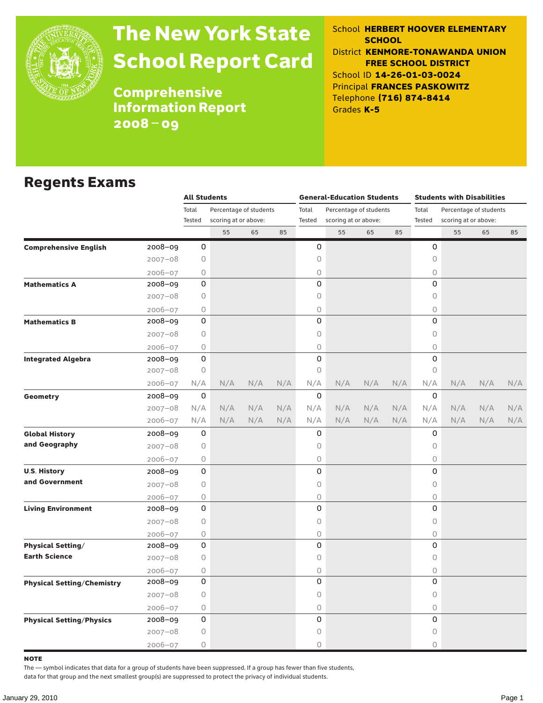

# The New York State School Report Card

School **HERBERT HOOVER ELEMENTARY SCHOOL** District **KENMORE-TONAWANDA UNION FREE SCHOOL DISTRICT** School ID **14-26-01-03-0024** Principal **FRANCES PASKOWITZ** Telephone **(716) 874-8414** Grades **K-5**

**Comprehensive** Information Report 2008–09

#### Regents Exams

|                                   |                                                                                                                                                                                                                                                                                                                                                                                                                                                                                                                                                                                                                                                                                                                                                                                                                                                | <b>All Students</b> |                        |     |     |        | <b>General-Education Students</b> |     |     | <b>Students with Disabilities</b> |                        |                   |     |  |
|-----------------------------------|------------------------------------------------------------------------------------------------------------------------------------------------------------------------------------------------------------------------------------------------------------------------------------------------------------------------------------------------------------------------------------------------------------------------------------------------------------------------------------------------------------------------------------------------------------------------------------------------------------------------------------------------------------------------------------------------------------------------------------------------------------------------------------------------------------------------------------------------|---------------------|------------------------|-----|-----|--------|-----------------------------------|-----|-----|-----------------------------------|------------------------|-------------------|-----|--|
|                                   |                                                                                                                                                                                                                                                                                                                                                                                                                                                                                                                                                                                                                                                                                                                                                                                                                                                | Total               | Percentage of students |     |     | Total  | Percentage of students            |     |     | Total                             | Percentage of students |                   |     |  |
|                                   |                                                                                                                                                                                                                                                                                                                                                                                                                                                                                                                                                                                                                                                                                                                                                                                                                                                | Tested              |                        |     |     | Tested | scoring at or above:              |     |     | Tested                            | scoring at or above:   |                   |     |  |
|                                   |                                                                                                                                                                                                                                                                                                                                                                                                                                                                                                                                                                                                                                                                                                                                                                                                                                                |                     | 55                     | 65  | 85  |        | 55                                | 65  | 85  |                                   | 55                     | 65                | 85  |  |
| <b>Comprehensive English</b>      |                                                                                                                                                                                                                                                                                                                                                                                                                                                                                                                                                                                                                                                                                                                                                                                                                                                |                     |                        |     |     |        |                                   |     |     | 0                                 |                        |                   |     |  |
|                                   |                                                                                                                                                                                                                                                                                                                                                                                                                                                                                                                                                                                                                                                                                                                                                                                                                                                |                     |                        |     |     |        |                                   |     |     | 0                                 |                        |                   |     |  |
|                                   |                                                                                                                                                                                                                                                                                                                                                                                                                                                                                                                                                                                                                                                                                                                                                                                                                                                |                     |                        |     |     |        |                                   |     |     | $\bigcirc$                        |                        |                   |     |  |
| <b>Mathematics A</b>              |                                                                                                                                                                                                                                                                                                                                                                                                                                                                                                                                                                                                                                                                                                                                                                                                                                                |                     |                        |     |     |        |                                   |     |     | 0                                 |                        |                   |     |  |
|                                   |                                                                                                                                                                                                                                                                                                                                                                                                                                                                                                                                                                                                                                                                                                                                                                                                                                                |                     |                        |     |     |        |                                   |     |     | $\bigcirc$                        |                        |                   |     |  |
|                                   |                                                                                                                                                                                                                                                                                                                                                                                                                                                                                                                                                                                                                                                                                                                                                                                                                                                |                     |                        |     |     |        |                                   |     |     | 0                                 |                        |                   |     |  |
| <b>Mathematics B</b>              |                                                                                                                                                                                                                                                                                                                                                                                                                                                                                                                                                                                                                                                                                                                                                                                                                                                |                     |                        |     |     |        |                                   |     |     | 0                                 |                        |                   |     |  |
|                                   |                                                                                                                                                                                                                                                                                                                                                                                                                                                                                                                                                                                                                                                                                                                                                                                                                                                |                     |                        |     |     |        |                                   |     |     | 0                                 |                        |                   |     |  |
|                                   |                                                                                                                                                                                                                                                                                                                                                                                                                                                                                                                                                                                                                                                                                                                                                                                                                                                |                     |                        |     |     |        |                                   |     |     | 0                                 |                        |                   |     |  |
| <b>Integrated Algebra</b>         |                                                                                                                                                                                                                                                                                                                                                                                                                                                                                                                                                                                                                                                                                                                                                                                                                                                |                     |                        |     |     |        |                                   |     |     | 0                                 |                        |                   |     |  |
|                                   |                                                                                                                                                                                                                                                                                                                                                                                                                                                                                                                                                                                                                                                                                                                                                                                                                                                |                     |                        |     |     |        |                                   |     |     | 0                                 |                        |                   |     |  |
|                                   |                                                                                                                                                                                                                                                                                                                                                                                                                                                                                                                                                                                                                                                                                                                                                                                                                                                |                     | N/A                    | N/A | N/A |        | N/A                               | N/A | N/A | N/A                               | N/A                    | N/A<br>N/A<br>N/A | N/A |  |
| Geometry                          |                                                                                                                                                                                                                                                                                                                                                                                                                                                                                                                                                                                                                                                                                                                                                                                                                                                |                     |                        |     |     |        |                                   |     |     | 0                                 |                        |                   |     |  |
|                                   |                                                                                                                                                                                                                                                                                                                                                                                                                                                                                                                                                                                                                                                                                                                                                                                                                                                |                     | N/A                    | N/A | N/A |        | N/A                               | N/A | N/A | N/A                               | N/A                    |                   | N/A |  |
|                                   |                                                                                                                                                                                                                                                                                                                                                                                                                                                                                                                                                                                                                                                                                                                                                                                                                                                |                     | N/A                    | N/A | N/A | N/A    | N/A                               | N/A | N/A | N/A                               | N/A                    |                   | N/A |  |
| <b>Global History</b>             |                                                                                                                                                                                                                                                                                                                                                                                                                                                                                                                                                                                                                                                                                                                                                                                                                                                |                     |                        |     |     |        |                                   |     |     | 0                                 |                        |                   |     |  |
| and Geography                     |                                                                                                                                                                                                                                                                                                                                                                                                                                                                                                                                                                                                                                                                                                                                                                                                                                                |                     |                        |     |     |        |                                   |     |     | $\circ$                           |                        |                   |     |  |
|                                   |                                                                                                                                                                                                                                                                                                                                                                                                                                                                                                                                                                                                                                                                                                                                                                                                                                                |                     |                        |     |     |        |                                   |     |     | $\bigcirc$                        |                        |                   |     |  |
| <b>U.S. History</b>               |                                                                                                                                                                                                                                                                                                                                                                                                                                                                                                                                                                                                                                                                                                                                                                                                                                                |                     |                        |     |     |        |                                   |     |     | 0                                 |                        |                   |     |  |
| and Government                    |                                                                                                                                                                                                                                                                                                                                                                                                                                                                                                                                                                                                                                                                                                                                                                                                                                                |                     |                        |     |     |        |                                   |     |     | $\circ$                           |                        |                   |     |  |
|                                   |                                                                                                                                                                                                                                                                                                                                                                                                                                                                                                                                                                                                                                                                                                                                                                                                                                                |                     |                        |     |     |        |                                   |     |     | $\bigcirc$                        |                        |                   |     |  |
| <b>Living Environment</b>         | scoring at or above:<br>0<br>0<br>2008-09<br>0<br>0<br>$2007 - 08$<br>$\circ$<br>0<br>2006-07<br>0<br>0<br>2008-09<br>0<br>0<br>$2007 - 08$<br>0<br>0<br>2006-07<br>0<br>0<br>$2008 - 09$<br>0<br>$2007 - 08$<br>0<br>$2006 - 07$<br>0<br>0<br>0<br>0<br>2008-09<br>0<br>0<br>$2007 - 08$<br>N/A<br>N/A<br>$2006 - 07$<br>0<br>0<br>$2008 - 09$<br>N/A<br>N/A<br>$2007 - 08$<br>N/A<br>$2006 - 07$<br>0<br>0<br>2008-09<br>$2007 - 08$<br>0<br>0<br>0<br>$2006 - 07$<br>0<br>0<br>0<br>2008-09<br>$2007 - 08$<br>0<br>0<br>$2006 - 07$<br>0<br>0<br>0<br>0<br>2008-09<br>$2007 - 08$<br>0<br>0<br>$2006 - 07$<br>$\circ$<br>0<br>0<br>0<br>2008-09<br>0<br>$2007 - 08$<br>0<br>0<br>$2006 - 07$<br>0<br>0<br>0<br>2008-09<br>0<br>$2007 - 08$<br>0<br>0<br>$2006 - 07$<br>0<br>0<br>0<br>2008-09<br>$2007 - 08$<br>0<br>0<br>2006-07<br>0<br>0 | 0                   |                        |     |     |        |                                   |     |     |                                   |                        |                   |     |  |
|                                   |                                                                                                                                                                                                                                                                                                                                                                                                                                                                                                                                                                                                                                                                                                                                                                                                                                                |                     |                        |     |     |        |                                   |     |     | $\mathsf O$                       |                        |                   |     |  |
|                                   |                                                                                                                                                                                                                                                                                                                                                                                                                                                                                                                                                                                                                                                                                                                                                                                                                                                |                     |                        |     |     |        |                                   |     |     | $\bigcirc$                        |                        |                   |     |  |
| <b>Physical Setting/</b>          |                                                                                                                                                                                                                                                                                                                                                                                                                                                                                                                                                                                                                                                                                                                                                                                                                                                |                     |                        |     |     |        |                                   |     |     | 0                                 |                        |                   |     |  |
| <b>Earth Science</b>              |                                                                                                                                                                                                                                                                                                                                                                                                                                                                                                                                                                                                                                                                                                                                                                                                                                                |                     |                        |     |     |        |                                   |     |     | 0                                 |                        |                   |     |  |
|                                   |                                                                                                                                                                                                                                                                                                                                                                                                                                                                                                                                                                                                                                                                                                                                                                                                                                                |                     |                        |     |     |        |                                   |     |     | $\bigcirc$                        |                        |                   |     |  |
| <b>Physical Setting/Chemistry</b> |                                                                                                                                                                                                                                                                                                                                                                                                                                                                                                                                                                                                                                                                                                                                                                                                                                                |                     |                        |     |     |        |                                   |     |     | 0                                 |                        |                   |     |  |
|                                   |                                                                                                                                                                                                                                                                                                                                                                                                                                                                                                                                                                                                                                                                                                                                                                                                                                                |                     |                        |     |     |        |                                   |     |     | 0                                 |                        |                   |     |  |
|                                   |                                                                                                                                                                                                                                                                                                                                                                                                                                                                                                                                                                                                                                                                                                                                                                                                                                                |                     |                        |     |     |        |                                   |     |     | $\bigcirc$                        |                        |                   |     |  |
| <b>Physical Setting/Physics</b>   |                                                                                                                                                                                                                                                                                                                                                                                                                                                                                                                                                                                                                                                                                                                                                                                                                                                |                     |                        |     |     |        |                                   |     |     | 0                                 |                        |                   |     |  |
|                                   |                                                                                                                                                                                                                                                                                                                                                                                                                                                                                                                                                                                                                                                                                                                                                                                                                                                |                     |                        |     |     |        |                                   |     |     | 0                                 |                        |                   |     |  |
|                                   |                                                                                                                                                                                                                                                                                                                                                                                                                                                                                                                                                                                                                                                                                                                                                                                                                                                |                     |                        |     |     |        |                                   |     |     | $\Omega$                          |                        |                   |     |  |

note

The — symbol indicates that data for a group of students have been suppressed. If a group has fewer than five students,

data for that group and the next smallest group(s) are suppressed to protect the privacy of individual students.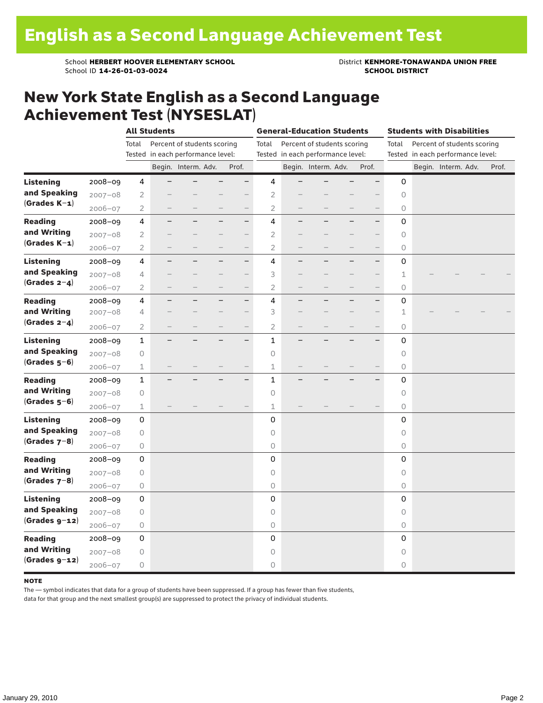School **HERBERT HOOVER ELEMENTARY SCHOOL** District **KENMORE-TONAWANDA UNION FREE**<br>School ID 14-26-01-03-0024 **District SCHOOL DISTRICT** School ID **14-26-01-03-0024** 

### New York State English as a Second Language Achievement Test (NYSESLAT)

|                  |             | <b>All Students</b> |                          |                                   |                          |                          |                | <b>General-Education Students</b> |                                   |                          |                          |         | <b>Students with Disabilities</b> |                                   |  |       |  |  |
|------------------|-------------|---------------------|--------------------------|-----------------------------------|--------------------------|--------------------------|----------------|-----------------------------------|-----------------------------------|--------------------------|--------------------------|---------|-----------------------------------|-----------------------------------|--|-------|--|--|
|                  |             | Total               |                          | Percent of students scoring       |                          |                          | Total          |                                   | Percent of students scoring       |                          |                          | Total   |                                   | Percent of students scoring       |  |       |  |  |
|                  |             |                     |                          | Tested in each performance level: |                          |                          |                |                                   | Tested in each performance level: |                          |                          |         |                                   | Tested in each performance level: |  |       |  |  |
|                  |             |                     |                          | Begin. Interm. Adv.               |                          | Prof.                    |                |                                   | Begin. Interm. Adv.               |                          | Prof.                    |         |                                   | Begin. Interm. Adv.               |  | Prof. |  |  |
| <b>Listening</b> | 2008-09     | 4                   |                          |                                   |                          | $\overline{\phantom{0}}$ | 4              |                                   |                                   |                          | $\overline{\phantom{0}}$ | 0       |                                   |                                   |  |       |  |  |
| and Speaking     | $2007 - 08$ | $\overline{2}$      |                          |                                   |                          |                          | 2              |                                   |                                   |                          |                          | $\circ$ |                                   |                                   |  |       |  |  |
| $(Grades K-1)$   | $2006 - 07$ | $\overline{2}$      |                          |                                   |                          |                          | $\overline{2}$ |                                   |                                   |                          |                          | 0       |                                   |                                   |  |       |  |  |
| <b>Reading</b>   | 2008-09     | 4                   |                          |                                   |                          | $-$                      | 4              |                                   |                                   |                          | $\overline{\phantom{0}}$ | 0       |                                   |                                   |  |       |  |  |
| and Writing      | $2007 - 08$ | $\overline{2}$      |                          |                                   |                          | $\qquad \qquad -$        | $\overline{2}$ |                                   |                                   |                          |                          | 0       |                                   |                                   |  |       |  |  |
| $(Grades K-1)$   | $2006 - 07$ | $\overline{2}$      |                          |                                   |                          |                          | $\overline{2}$ |                                   |                                   |                          |                          | 0       |                                   |                                   |  |       |  |  |
| <b>Listening</b> | $2008 - 09$ | 4                   |                          |                                   |                          | $\qquad \qquad -$        | 4              |                                   |                                   |                          | $\overline{\phantom{0}}$ | 0       |                                   |                                   |  |       |  |  |
| and Speaking     | $2007 - 08$ | 4                   |                          |                                   |                          | $\overline{\phantom{0}}$ | 3              |                                   |                                   |                          |                          | 1       |                                   |                                   |  |       |  |  |
| $(Grades 2-4)$   | $2006 - 07$ | $\overline{2}$      | $\overline{\phantom{0}}$ |                                   | $\overline{\phantom{0}}$ | $\qquad \qquad -$        | $\overline{2}$ |                                   | $\overline{\phantom{0}}$          | $\overline{\phantom{0}}$ | $\qquad \qquad -$        | 0       |                                   |                                   |  |       |  |  |
| <b>Reading</b>   | 2008-09     | 4                   |                          |                                   |                          | $\qquad \qquad -$        | 4              | $\overline{\phantom{0}}$          |                                   |                          | $\overline{\phantom{0}}$ | 0       |                                   |                                   |  |       |  |  |
| and Writing      | $2007 - 08$ | 4                   |                          |                                   |                          | $\overline{\phantom{0}}$ | 3              |                                   |                                   |                          | $\overline{\phantom{0}}$ | 1       |                                   |                                   |  |       |  |  |
| (Grades $2-4$ )  | $2006 - 07$ | $\overline{2}$      |                          |                                   |                          | $\qquad \qquad -$        | $\overline{2}$ |                                   |                                   |                          | $\qquad \qquad -$        | 0       |                                   |                                   |  |       |  |  |
| <b>Listening</b> | 2008-09     | $\mathbf{1}$        |                          |                                   |                          | $\overline{\phantom{0}}$ | $\mathbf{1}$   |                                   |                                   |                          | $\overline{\phantom{0}}$ | 0       |                                   |                                   |  |       |  |  |
| and Speaking     | $2007 - 08$ | 0                   |                          |                                   |                          |                          | 0              |                                   |                                   |                          |                          | 0       |                                   |                                   |  |       |  |  |
| $(Grades 5-6)$   | 2006-07     | $\perp$             |                          |                                   |                          |                          | 1              |                                   |                                   |                          |                          | 0       |                                   |                                   |  |       |  |  |
| <b>Reading</b>   | $2008 - 09$ | $\mathbf{1}$        |                          |                                   |                          | $\overline{\phantom{0}}$ | $\mathbf{1}$   |                                   |                                   |                          |                          | 0       |                                   |                                   |  |       |  |  |
| and Writing      | $2007 - 08$ | $\bigcirc$          |                          |                                   |                          |                          | 0              |                                   |                                   |                          |                          | 0       |                                   |                                   |  |       |  |  |
| $(Grades 5-6)$   | $2006 - 07$ | $\perp$             |                          |                                   |                          |                          | $\mathbf 1$    |                                   |                                   |                          |                          | 0       |                                   |                                   |  |       |  |  |
| <b>Listening</b> | 2008-09     | 0                   |                          |                                   |                          |                          | 0              |                                   |                                   |                          |                          | 0       |                                   |                                   |  |       |  |  |
| and Speaking     | $2007 - 08$ | 0                   |                          |                                   |                          |                          | $\circ$        |                                   |                                   |                          |                          | 0       |                                   |                                   |  |       |  |  |
| $(Grades 7-8)$   | $2006 - 07$ | 0                   |                          |                                   |                          |                          | 0              |                                   |                                   |                          |                          | 0       |                                   |                                   |  |       |  |  |
| <b>Reading</b>   | $2008 - 09$ | 0                   |                          |                                   |                          |                          | 0              |                                   |                                   |                          |                          | 0       |                                   |                                   |  |       |  |  |
| and Writing      | $2007 - 08$ | $\bigcirc$          |                          |                                   |                          |                          | 0              |                                   |                                   |                          |                          | 0       |                                   |                                   |  |       |  |  |
| $(Grades 7-8)$   | $2006 - 07$ | $\bigcirc$          |                          |                                   |                          |                          | 0              |                                   |                                   |                          |                          | 0       |                                   |                                   |  |       |  |  |
| <b>Listening</b> | 2008-09     | 0                   |                          |                                   |                          |                          | 0              |                                   |                                   |                          |                          | 0       |                                   |                                   |  |       |  |  |
| and Speaking     | $2007 - 08$ | $\bigcirc$          |                          |                                   |                          |                          | $\circ$        |                                   |                                   |                          |                          | 0       |                                   |                                   |  |       |  |  |
| $(Grades g-12)$  | $2006 - 07$ | $\bigcirc$          |                          |                                   |                          |                          | 0              |                                   |                                   |                          |                          | 0       |                                   |                                   |  |       |  |  |
| <b>Reading</b>   | 2008-09     | 0                   |                          |                                   |                          |                          | 0              |                                   |                                   |                          |                          | 0       |                                   |                                   |  |       |  |  |
| and Writing      | $2007 - 08$ | 0                   |                          |                                   |                          |                          | 0              |                                   |                                   |                          |                          | 0       |                                   |                                   |  |       |  |  |
| $(Grades g-12)$  | $2006 - 07$ | $\bigcirc$          |                          |                                   |                          |                          | 0              |                                   |                                   |                          |                          | 0       |                                   |                                   |  |       |  |  |

#### **NOTE**

The — symbol indicates that data for a group of students have been suppressed. If a group has fewer than five students,

data for that group and the next smallest group(s) are suppressed to protect the privacy of individual students.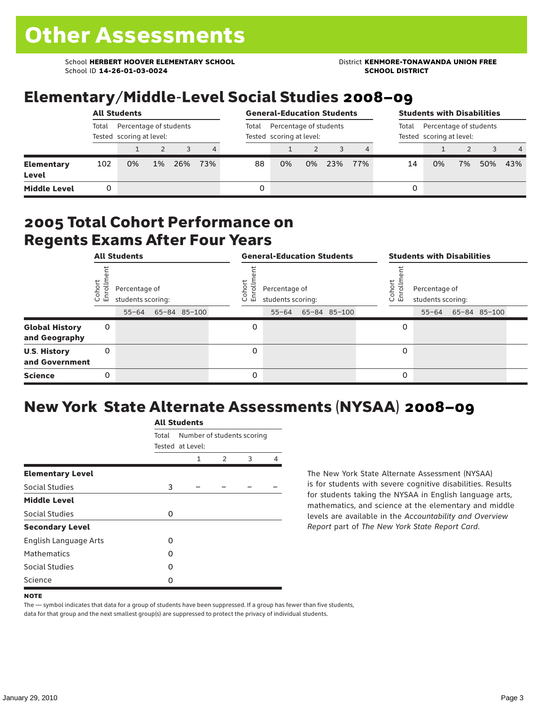School **HERBERT HOOVER ELEMENTARY SCHOOL** District **KENMORE-TONAWANDA UNION FREE**<br>School ID 14-26-01-03-0024 **District Album School District** School ID **14-26-01-03-0024** 

## Elementary/Middle-Level Social Studies 2008–09

|                            |                                                             | <b>All Students</b> |       | <b>General-Education Students</b> |     |       | <b>Students with Disabilities</b>                  |    |     |     |                                                             |    |    |     |                |
|----------------------------|-------------------------------------------------------------|---------------------|-------|-----------------------------------|-----|-------|----------------------------------------------------|----|-----|-----|-------------------------------------------------------------|----|----|-----|----------------|
|                            | Total<br>Percentage of students<br>Tested scoring at level: |                     |       |                                   |     | Total | Percentage of students<br>Tested scoring at level: |    |     |     | Percentage of students<br>Total<br>Tested scoring at level: |    |    |     |                |
|                            |                                                             |                     |       |                                   | 4   |       |                                                    |    |     | 4   |                                                             |    |    |     | $\overline{4}$ |
| <b>Elementary</b><br>Level | 102                                                         | 0%                  | $1\%$ | 26%                               | 73% | 88    | 0%                                                 | 0% | 23% | 77% | 14                                                          | 0% | 7% | 50% | 43%            |
| <b>Middle Level</b>        |                                                             |                     |       |                                   |     |       |                                                    |    |     |     | 0                                                           |    |    |     |                |

#### 2005 Total Cohort Performance on Regents Exams After Four Years

|                                        |                | <b>All Students</b>                             |              |                 | <b>General-Education Students</b>               |              | <b>Students with Disabilities</b> |                                    |  |                    |  |  |
|----------------------------------------|----------------|-------------------------------------------------|--------------|-----------------|-------------------------------------------------|--------------|-----------------------------------|------------------------------------|--|--------------------|--|--|
|                                        | Coho<br>Enroll | Percentage of<br>students scoring:<br>$55 - 64$ | 65-84 85-100 | Coho<br>o,<br>巴 | Percentage of<br>students scoring:<br>$55 - 64$ | 65-84 85-100 | Coho<br>6<br>문                    | Percentage of<br>students scoring: |  | 55-64 65-84 85-100 |  |  |
| <b>Global History</b><br>and Geography | 0              |                                                 |              | 0               |                                                 |              | 0                                 |                                    |  |                    |  |  |
| <b>U.S. History</b><br>and Government  | 0              |                                                 |              | 0               |                                                 |              | 0                                 |                                    |  |                    |  |  |
| <b>Science</b>                         | 0              |                                                 |              | $\Omega$        |                                                 |              | 0                                 |                                    |  |                    |  |  |

## New York State Alternate Assessments (NYSAA) 2008–09

|                         |       | <b>All Students</b> |                            |   |   |  |  |  |
|-------------------------|-------|---------------------|----------------------------|---|---|--|--|--|
|                         | Total | Tested at Level:    | Number of students scoring |   |   |  |  |  |
|                         |       | 1                   | $\mathcal{P}$              | 3 | 4 |  |  |  |
| <b>Elementary Level</b> |       |                     |                            |   |   |  |  |  |
| Social Studies          | 3     |                     |                            |   |   |  |  |  |
| <b>Middle Level</b>     |       |                     |                            |   |   |  |  |  |
| Social Studies          | 0     |                     |                            |   |   |  |  |  |
| <b>Secondary Level</b>  |       |                     |                            |   |   |  |  |  |
| English Language Arts   | O     |                     |                            |   |   |  |  |  |
| <b>Mathematics</b>      | O     |                     |                            |   |   |  |  |  |
| Social Studies          | 0     |                     |                            |   |   |  |  |  |
| Science                 | O     |                     |                            |   |   |  |  |  |

The New York State Alternate Assessment (NYSAA) is for students with severe cognitive disabilities. Results for students taking the NYSAA in English language arts, mathematics, and science at the elementary and middle levels are available in the *Accountability and Overview Report* part of *The New York State Report Card*.

The — symbol indicates that data for a group of students have been suppressed. If a group has fewer than five students, data for that group and the next smallest group(s) are suppressed to protect the privacy of individual students.

**NOTE**